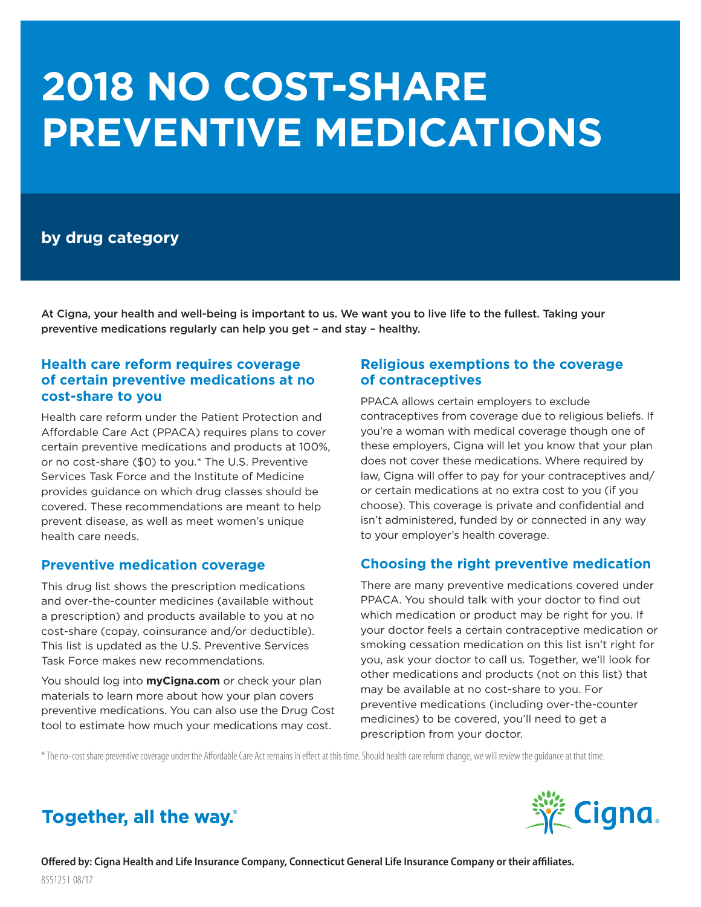# **2018 NO COST-SHARE PREVENTIVE MEDICATIONS**

## **by drug category**

At Cigna, your health and well-being is important to us. We want you to live life to the fullest. Taking your preventive medications regularly can help you get – and stay – healthy.

## **Health care reform requires coverage of certain preventive medications at no cost-share to you**

Health care reform under the Patient Protection and Affordable Care Act (PPACA) requires plans to cover certain preventive medications and products at 100%, or no cost-share (\$0) to you.\* The U.S. Preventive Services Task Force and the Institute of Medicine provides guidance on which drug classes should be covered. These recommendations are meant to help prevent disease, as well as meet women's unique health care needs.

## **Preventive medication coverage**

This drug list shows the prescription medications and over-the-counter medicines (available without a prescription) and products available to you at no cost-share (copay, coinsurance and/or deductible). This list is updated as the U.S. Preventive Services Task Force makes new recommendations.

You should log into **myCigna.com** or check your plan materials to learn more about how your plan covers preventive medications. You can also use the Drug Cost tool to estimate how much your medications may cost.

## **Religious exemptions to the coverage of contraceptives**

PPACA allows certain employers to exclude contraceptives from coverage due to religious beliefs. If you're a woman with medical coverage though one of these employers, Cigna will let you know that your plan does not cover these medications. Where required by law, Cigna will offer to pay for your contraceptives and/ or certain medications at no extra cost to you (if you choose). This coverage is private and confidential and isn't administered, funded by or connected in any way to your employer's health coverage.

## **Choosing the right preventive medication**

There are many preventive medications covered under PPACA. You should talk with your doctor to find out which medication or product may be right for you. If your doctor feels a certain contraceptive medication or smoking cessation medication on this list isn't right for you, ask your doctor to call us. Together, we'll look for other medications and products (not on this list) that may be available at no cost-share to you. For preventive medications (including over-the-counter medicines) to be covered, you'll need to get a prescription from your doctor.

\* The no-cost share preventive coverage under the Affordable Care Act remains in effect at this time. Should health care reform change, we will review the guidance at that time.



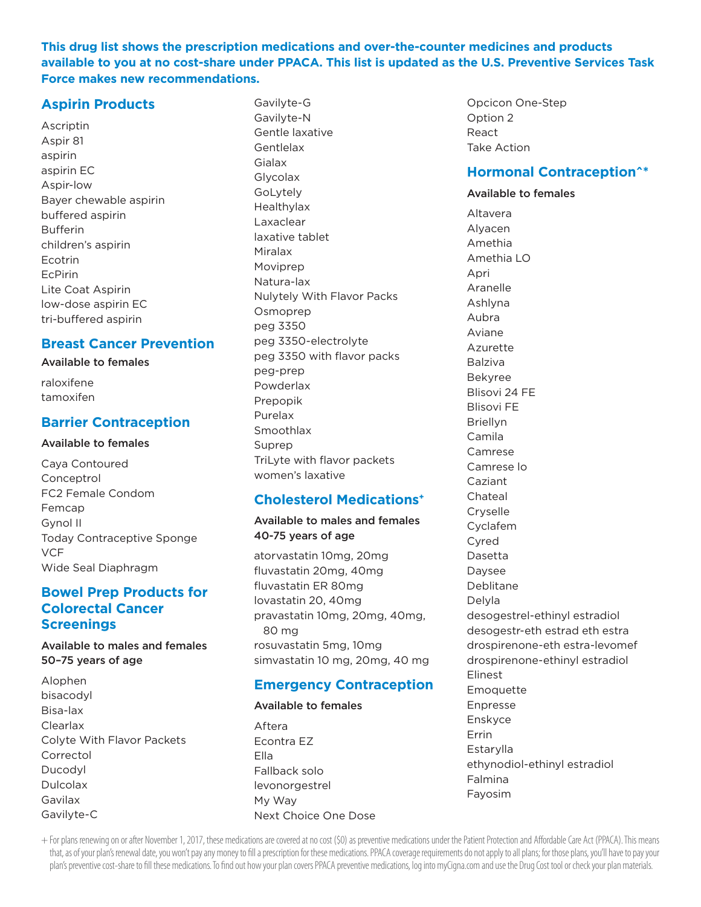**This drug list shows the prescription medications and over-the-counter medicines and products available to you at no cost-share under PPACA. This list is updated as the U.S. Preventive Services Task Force makes new recommendations.**

## **Aspirin Products**

Ascriptin Aspir 81 aspirin aspirin EC Aspir-low Bayer chewable aspirin buffered aspirin Bufferin children's aspirin Ecotrin EcPirin Lite Coat Aspirin low-dose aspirin EC tri-buffered aspirin

#### **Breast Cancer Prevention**

#### Available to females

| raloxifene |
|------------|
| tamoxifen  |

#### **Barrier Contraception**

#### Available to females

Caya Contoured Conceptrol FC2 Female Condom Femcap Gynol II Today Contraceptive Sponge **VCF** Wide Seal Diaphragm

## **Bowel Prep Products for Colorectal Cancer Screenings**

#### Available to males and females 50–75 years of age

Alophen bisacodyl Bisa-lax Clearlax Colyte With Flavor Packets Correctol Ducodyl Dulcolax Gavilax Gavilyte-C

Gavilyte-G Gavilyte-N Gentle laxative **Gentlelax Gialax** Glycolax GoLytely Healthylax Laxaclear laxative tablet Miralax Moviprep Natura-lax Nulytely With Flavor Packs Osmoprep peg 3350 peg 3350-electrolyte peg 3350 with flavor packs peg-prep Powderlax Prepopik Purelax **Smoothlax** Suprep TriLyte with flavor packets women's laxative

## **Cholesterol Medications+**

#### Available to males and females 40-75 years of age

atorvastatin 10mg, 20mg fluvastatin 20mg, 40mg fluvastatin ER 80mg lovastatin 20, 40mg pravastatin 10mg, 20mg, 40mg, 80 mg rosuvastatin 5mg, 10mg simvastatin 10 mg, 20mg, 40 mg

## **Emergency Contraception**

#### Available to females

Aftera Econtra EZ Ella Fallback solo levonorgestrel My Way Next Choice One Dose Opcicon One-Step Option 2 React Take Action

#### **Hormonal Contraception^\***

#### Available to females

Altavera Alyacen Amethia Amethia LO Apri Aranelle Ashlyna Aubra Aviane Azurette Balziva Bekyree Blisovi 24 FE Blisovi FE Briellyn Camila Camrese Camrese lo Caziant Chateal Cryselle Cyclafem Cyred Dasetta Daysee Deblitane Delyla desogestrel-ethinyl estradiol desogestr-eth estrad eth estra drospirenone-eth estra-levomef drospirenone-ethinyl estradiol Elinest **Emoquette** Enpresse Enskyce Errin Estarylla ethynodiol-ethinyl estradiol Falmina Fayosim

+ For plans renewing on or after November 1, 2017, these medications are covered at no cost (\$0) as preventive medications under the Patient Protection and Affordable Care Act (PPACA). This means that, as of your plan's renewal date, you won't pay any money to fill a prescription for these medications. PPACA coverage requirements do not apply to all plans; for those plans, you'll have to pay your plan's preventive cost-share to fill these medications. To find out how your plan covers PPACA preventive medications, log into myCigna.com and use the Drug Cost tool or check your plan materials.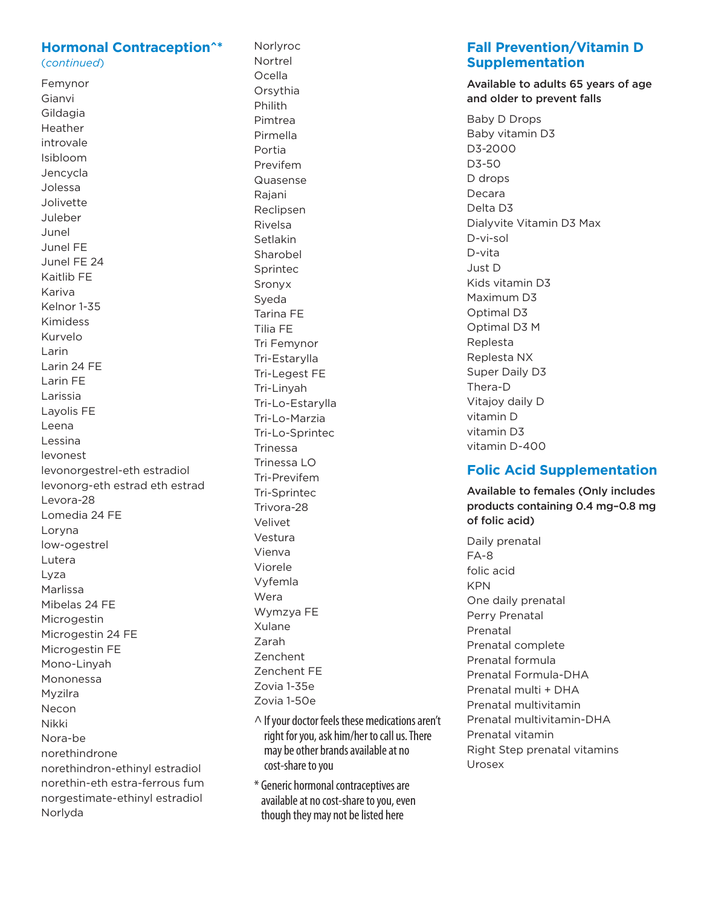#### **Hormonal Contraception^\*** (continued)

Femynor Gianvi Gildagia Heather introvale Isibloom Jencycla Jolessa Jolivette Juleber Junel Junel FE Junel FE 24 Kaitlib FE Kariva Kelnor 1-35 **Kimidess** Kurvelo Larin Larin 24 FE Larin FF Larissia Layolis FE Leena Lessina levonest levonorgestrel-eth estradiol levonorg-eth estrad eth estrad Levora-28 Lomedia 24 FE Loryna low-ogestrel Lutera Lyza Marlissa Mibelas 24 FE Microgestin Microgestin 24 FE Microgestin FE Mono-Linyah Mononessa Myzilra Necon Nikki Nora-be norethindrone norethindron-ethinyl estradiol norethin-eth estra-ferrous fum norgestimate-ethinyl estradiol Norlyda

Norlvroc Nortrel Ocella Orsythia Philith Pimtrea Pirmella Portia Previfem Quasense Rajani Reclipsen Rivelsa Setlakin Sharobel Sprintec Sronyx Sveda Tarina FE Tilia FE Tri Femvnor Tri-Estarylla Tri-Legest FE Tri-Linyah Tri-Lo-Estarvlla Tri-Lo-Marzia Tri-Lo-Sprintec **Trinessa** Trinessa  $10$ Tri-Previfem Tri-Sprintec Trivora-28 Velivet Vestura Vienva Viorele Vyfemla Wera Wymzya FE Xulane **Zarah** Zenchent **Zenchent FF** Zovia 1-35e Zovia 1-50e

- $\wedge$  If your doctor feels these medications aren't right for you, ask him/her to call us. There may be other brands available at no cost-share to you
- \* Generic hormonal contraceptives are available at no cost-share to you, even though they may not be listed here

## **Fall Prevention/Vitamin D Supplementation**

#### Available to adults 65 years of age and older to prevent falls

**Baby D Drops** Baby vitamin D3 D3-2000 D3-50 D drops Decara Delta D3 Dialyvite Vitamin D3 Max D-vi-sol D-vita Just D Kids vitamin D3 Maximum D3 Optimal D3 Optimal D3 M Replesta Replesta NX Super Daily D3 Thera-D Vitajov daily D vitamin D vitamin D3 vitamin D-400

## **Folic Acid Supplementation**

Available to females (Only includes products containing 0.4 mg-0.8 mg of folic acid)

Daily prenatal  $FA-8$ folic acid **KPN** One daily prenatal Perry Prenatal Prenatal Prenatal complete Prenatal formula Prenatal Formula-DHA Prenatal multi + DHA Prenatal multivitamin Prenatal multivitamin-DHA Prenatal vitamin Right Step prenatal vitamins Urosex